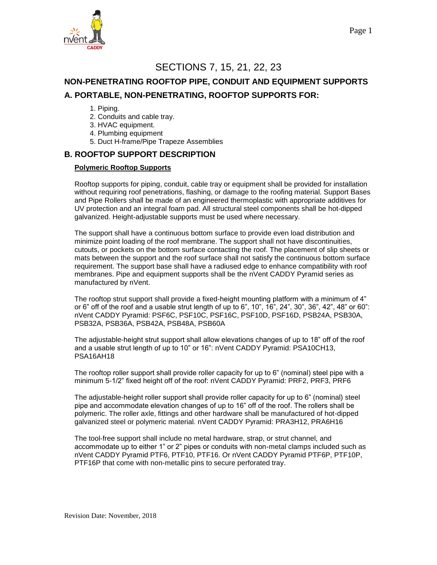

# SECTIONS 7, 15, 21, 22, 23

# **NON-PENETRATING ROOFTOP PIPE, CONDUIT AND EQUIPMENT SUPPORTS A. PORTABLE, NON-PENETRATING, ROOFTOP SUPPORTS FOR:**

- 1. Piping.
- 2. Conduits and cable tray.
- 3. HVAC equipment.
- 4. Plumbing equipment
- 5. Duct H-frame/Pipe Trapeze Assemblies

### **B. ROOFTOP SUPPORT DESCRIPTION**

#### **Polymeric Rooftop Supports**

Rooftop supports for piping, conduit, cable tray or equipment shall be provided for installation without requiring roof penetrations, flashing, or damage to the roofing material. Support Bases and Pipe Rollers shall be made of an engineered thermoplastic with appropriate additives for UV protection and an integral foam pad. All structural steel components shall be hot-dipped galvanized. Height-adjustable supports must be used where necessary.

The support shall have a continuous bottom surface to provide even load distribution and minimize point loading of the roof membrane. The support shall not have discontinuities, cutouts, or pockets on the bottom surface contacting the roof. The placement of slip sheets or mats between the support and the roof surface shall not satisfy the continuous bottom surface requirement. The support base shall have a radiused edge to enhance compatibility with roof membranes. Pipe and equipment supports shall be the nVent CADDY Pyramid series as manufactured by nVent.

The rooftop strut support shall provide a fixed-height mounting platform with a minimum of 4" or 6" off of the roof and a usable strut length of up to 6", 10", 16", 24", 30", 36", 42", 48" or 60": nVent CADDY Pyramid: PSF6C, PSF10C, PSF16C, PSF10D, PSF16D, PSB24A, PSB30A, PSB32A, PSB36A, PSB42A, PSB48A, PSB60A

The adjustable-height strut support shall allow elevations changes of up to 18" off of the roof and a usable strut length of up to 10" or 16": nVent CADDY Pyramid: PSA10CH13, PSA16AH18

The rooftop roller support shall provide roller capacity for up to 6" (nominal) steel pipe with a minimum 5-1/2" fixed height off of the roof: nVent CADDY Pyramid: PRF2, PRF3, PRF6

The adjustable-height roller support shall provide roller capacity for up to 6" (nominal) steel pipe and accommodate elevation changes of up to 16" off of the roof. The rollers shall be polymeric. The roller axle, fittings and other hardware shall be manufactured of hot-dipped galvanized steel or polymeric material. nVent CADDY Pyramid: PRA3H12, PRA6H16

The tool-free support shall include no metal hardware, strap, or strut channel, and accommodate up to either 1" or 2" pipes or conduits with non-metal clamps included such as nVent CADDY Pyramid PTF6, PTF10, PTF16. Or nVent CADDY Pyramid PTF6P, PTF10P, PTF16P that come with non-metallic pins to secure perforated tray.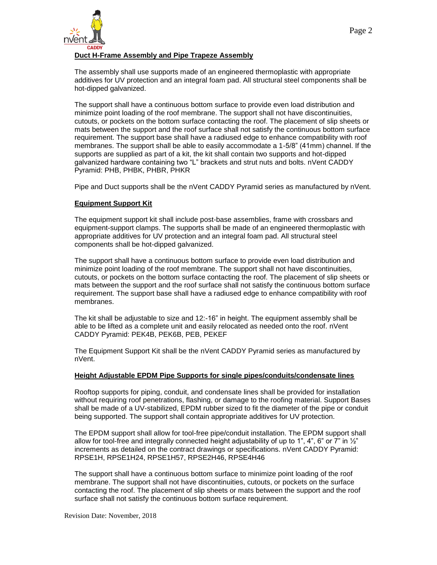

#### **Duct H-Frame Assembly and Pipe Trapeze Assembly**

The assembly shall use supports made of an engineered thermoplastic with appropriate additives for UV protection and an integral foam pad. All structural steel components shall be hot-dipped galvanized.

The support shall have a continuous bottom surface to provide even load distribution and minimize point loading of the roof membrane. The support shall not have discontinuities, cutouts, or pockets on the bottom surface contacting the roof. The placement of slip sheets or mats between the support and the roof surface shall not satisfy the continuous bottom surface requirement. The support base shall have a radiused edge to enhance compatibility with roof membranes. The support shall be able to easily accommodate a 1-5/8" (41mm) channel. If the supports are supplied as part of a kit, the kit shall contain two supports and hot-dipped galvanized hardware containing two "L" brackets and strut nuts and bolts. nVent CADDY Pyramid: PHB, PHBK, PHBR, PHKR

Pipe and Duct supports shall be the nVent CADDY Pyramid series as manufactured by nVent.

#### **Equipment Support Kit**

The equipment support kit shall include post-base assemblies, frame with crossbars and equipment-support clamps. The supports shall be made of an engineered thermoplastic with appropriate additives for UV protection and an integral foam pad. All structural steel components shall be hot-dipped galvanized.

The support shall have a continuous bottom surface to provide even load distribution and minimize point loading of the roof membrane. The support shall not have discontinuities, cutouts, or pockets on the bottom surface contacting the roof. The placement of slip sheets or mats between the support and the roof surface shall not satisfy the continuous bottom surface requirement. The support base shall have a radiused edge to enhance compatibility with roof membranes.

The kit shall be adjustable to size and 12:-16" in height. The equipment assembly shall be able to be lifted as a complete unit and easily relocated as needed onto the roof. nVent CADDY Pyramid: PEK4B, PEK6B, PEB, PEKEF

The Equipment Support Kit shall be the nVent CADDY Pyramid series as manufactured by nVent.

#### **Height Adjustable EPDM Pipe Supports for single pipes/conduits/condensate lines**

Rooftop supports for piping, conduit, and condensate lines shall be provided for installation without requiring roof penetrations, flashing, or damage to the roofing material. Support Bases shall be made of a UV-stabilized, EPDM rubber sized to fit the diameter of the pipe or conduit being supported. The support shall contain appropriate additives for UV protection.

The EPDM support shall allow for tool-free pipe/conduit installation. The EPDM support shall allow for tool-free and integrally connected height adjustability of up to 1", 4", 6" or 7" in  $\frac{1}{2}$ " increments as detailed on the contract drawings or specifications. nVent CADDY Pyramid: RPSE1H, RPSE1H24, RPSE1H57, RPSE2H46, RPSE4H46

The support shall have a continuous bottom surface to minimize point loading of the roof membrane. The support shall not have discontinuities, cutouts, or pockets on the surface contacting the roof. The placement of slip sheets or mats between the support and the roof surface shall not satisfy the continuous bottom surface requirement.